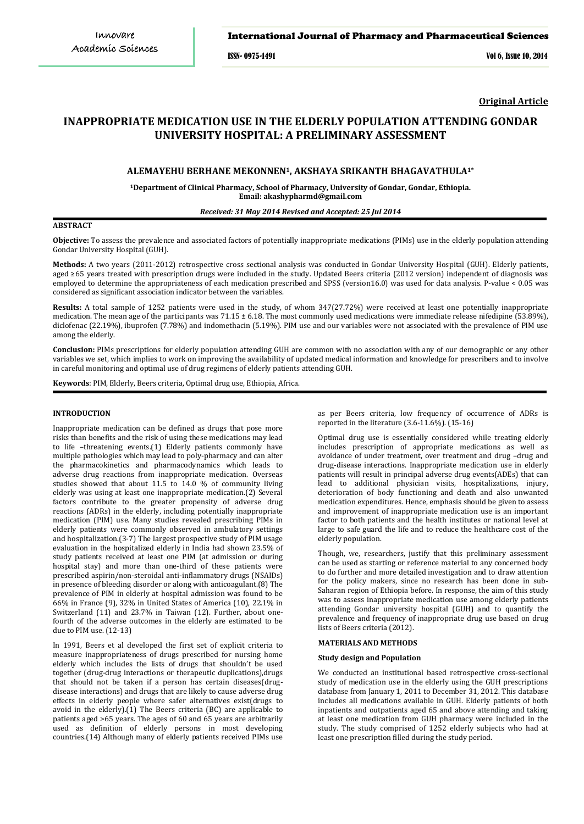### International Journal of Pharmacy and Pharmaceutical Sciences

ISSN- 0975-1491 Vol 6, Issue 10, 2014

**Original Article**

# **INAPPROPRIATE MEDICATION USE IN THE ELDERLY POPULATION ATTENDING GONDAR UNIVERSITY HOSPITAL: A PRELIMINARY ASSESSMENT**

## **ALEMAYEHU BERHANE MEKONNEN1, AKSHAYA SRIKANTH BHAGAVATHULA1\***

**1 Department of Clinical Pharmacy, School of Pharmacy, University of Gondar, Gondar, Ethiopia. Email: akashypharmd@gmail.com**

#### *Received: 31 May 2014 Revised and Accepted: 25 Jul 2014*

## **ABSTRACT**

**Objective:** To assess the prevalence and associated factors of potentially inappropriate medications (PIMs) use in the elderly population attending Gondar University Hospital (GUH).

**Methods:** A two years (2011-2012) retrospective cross sectional analysis was conducted in Gondar University Hospital (GUH). Elderly patients, aged ≥65 years treated with prescription drugs were included in the study. Updated Beers criteria (2012 version) independent of diagnosis was employed to determine the appropriateness of each medication prescribed and SPSS (version16.0) was used for data analysis. P-value < 0.05 was considered as significant association indicator between the variables.

**Results:** A total sample of 1252 patients were used in the study, of whom 347(27.72%) were received at least one potentially inappropriate medication. The mean age of the participants was 71.15 ± 6.18. The most commonly used medications were immediate release nifedipine (53.89%), diclofenac (22.19%), ibuprofen (7.78%) and indomethacin (5.19%). PIM use and our variables were not associated with the prevalence of PIM use among the elderly.

**Conclusion:** PIMs prescriptions for elderly population attending GUH are common with no association with any of our demographic or any other variables we set, which implies to work on improving the availability of updated medical information and knowledge for prescribers and to involve in careful monitoring and optimal use of drug regimens of elderly patients attending GUH.

**Keywords**: PIM, Elderly, Beers criteria, Optimal drug use, Ethiopia, Africa.

## **INTRODUCTION**

Inappropriate medication can be defined as drugs that pose more risks than benefits and the risk of using these medications may lead to life –threatening events.(1) Elderly patients commonly have multiple pathologies which may lead to poly-pharmacy and can alter the pharmacokinetics and pharmacodynamics which leads to adverse drug reactions from inappropriate medication. Overseas studies showed that about 11.5 to 14.0 % of community living elderly was using at least one inappropriate medication.(2) Several factors contribute to the greater propensity of adverse drug reactions (ADRs) in the elderly, including potentially inappropriate medication (PIM) use. Many studies revealed prescribing PIMs in elderly patients were commonly observed in ambulatory settings and hospitalization.(3-7) The largest prospective study of PIM usage evaluation in the hospitalized elderly in India had shown 23.5% of study patients received at least one PIM (at admission or during hospital stay) and more than one-third of these patients were prescribed aspirin/non-steroidal anti-inflammatory drugs (NSAIDs) in presence of bleeding disorder or along with anticoagulant.(8) The prevalence of PIM in elderly at hospital admission was found to be 66% in France (9), 32% in United States of America (10), 22.1% in Switzerland (11) and 23.7% in Taiwan (12). Further, about onefourth of the adverse outcomes in the elderly are estimated to be due to PIM use. (12-13)

In 1991, Beers et al developed the first set of explicit criteria to measure inappropriateness of drugs prescribed for nursing home elderly which includes the lists of drugs that shouldn't be used together (drug-drug interactions or therapeutic duplications),drugs that should not be taken if a person has certain diseases(drugdisease interactions) and drugs that are likely to cause adverse drug effects in elderly people where safer alternatives exist(drugs to avoid in the elderly).(1) The Beers criteria (BC) are applicable to patients aged >65 years. The ages of 60 and 65 years are arbitrarily used as definition of elderly persons in most developing countries.(14) Although many of elderly patients received PIMs use

as per Beers criteria, low frequency of occurrence of ADRs is reported in the literature (3.6-11.6%). (15-16)

Optimal drug use is essentially considered while treating elderly includes prescription of appropriate medications as well as avoidance of under treatment, over treatment and drug –drug and drug-disease interactions. Inappropriate medication use in elderly patients will result in principal adverse drug events(ADEs) that can lead to additional physician visits, hospitalizations, injury, deterioration of body functioning and death and also unwanted medication expenditures. Hence, emphasis should be given to assess and improvement of inappropriate medication use is an important factor to both patients and the health institutes or national level at large to safe guard the life and to reduce the healthcare cost of the elderly population.

Though, we, researchers, justify that this preliminary assessment can be used as starting or reference material to any concerned body to do further and more detailed investigation and to draw attention for the policy makers, since no research has been done in sub-Saharan region of Ethiopia before. In response, the aim of this study was to assess inappropriate medication use among elderly patients attending Gondar university hospital (GUH) and to quantify the prevalence and frequency of inappropriate drug use based on drug lists of Beers criteria (2012).

#### **MATERIALS AND METHODS**

#### **Study design and Population**

We conducted an institutional based retrospective cross-sectional study of medication use in the elderly using the GUH prescriptions database from January 1, 2011 to December 31, 2012. This database includes all medications available in GUH. Elderly patients of both inpatients and outpatients aged 65 and above attending and taking at least one medication from GUH pharmacy were included in the study. The study comprised of 1252 elderly subjects who had at least one prescription filled during the study period.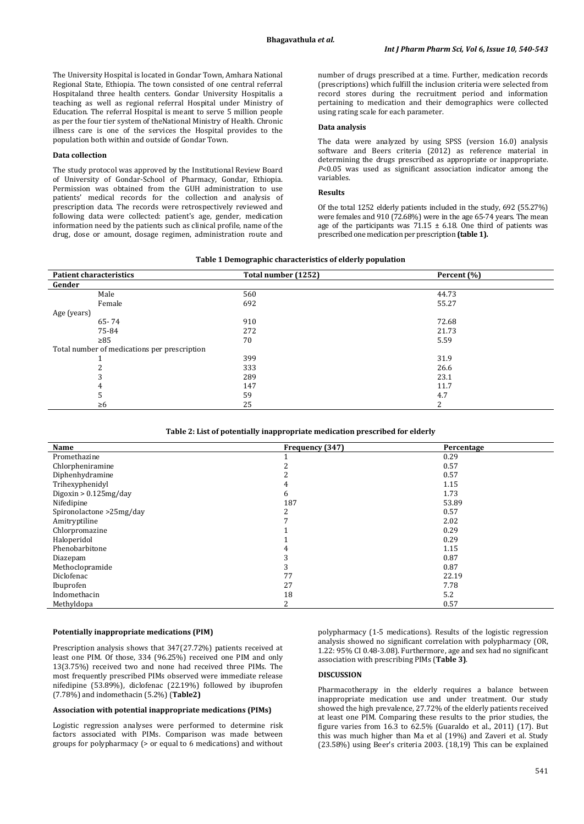The University Hospital is located in Gondar Town, Amhara National Regional State, Ethiopia. The town consisted of one central referral Hospitaland three health centers. Gondar University Hospitalis a teaching as well as regional referral Hospital under Ministry of Education. The referral Hospital is meant to serve 5 million people as per the four tier system of theNational Ministry of Health. Chronic illness care is one of the services the Hospital provides to the population both within and outside of Gondar Town.

## **Data collection**

The study protocol was approved by the Institutional Review Board of University of Gondar-School of Pharmacy, Gondar, Ethiopia. Permission was obtained from the GUH administration to use patients' medical records for the collection and analysis of prescription data. The records were retrospectively reviewed and following data were collected: patient's age, gender, medication information need by the patients such as clinical profile, name of the drug, dose or amount, dosage regimen, administration route and

number of drugs prescribed at a time. Further, medication records (prescriptions) which fulfill the inclusion criteria were selected from record stores during the recruitment period and information pertaining to medication and their demographics were collected using rating scale for each parameter.

#### **Data analysis**

The data were analyzed by using SPSS (version 16.0) analysis software and Beers criteria (2012) as reference material in determining the drugs prescribed as appropriate or inappropriate. *P*<0.05 was used as significant association indicator among the variables.

#### **Results**

Of the total 1252 elderly patients included in the study, 692 (55.27%) were females and 910 (72.68%) were in the age 65-74 years. The mean age of the participants was  $71.15 \pm 6.18$ . One third of patients was prescribed one medication per prescription **(table 1).**

#### **Table 1 Demographic characteristics of elderly population**

| <b>Patient characteristics</b>               | Total number (1252) | Percent (%) |  |
|----------------------------------------------|---------------------|-------------|--|
| Gender                                       |                     |             |  |
| Male                                         | 560                 | 44.73       |  |
| Female                                       | 692                 | 55.27       |  |
| Age (years)                                  |                     |             |  |
| $65 - 74$                                    | 910                 | 72.68       |  |
| 75-84                                        | 272                 | 21.73       |  |
| $\geq 85$                                    | 70                  | 5.59        |  |
| Total number of medications per prescription |                     |             |  |
|                                              | 399                 | 31.9        |  |
|                                              | 333                 | 26.6        |  |
|                                              | 289                 | 23.1        |  |
| 4                                            | 147                 | 11.7        |  |
| 5                                            | 59                  | 4.7         |  |
| $\geq 6$                                     | 25                  | 2           |  |

| Table 2: List of potentially inappropriate medication prescribed for elderly |  |  |  |
|------------------------------------------------------------------------------|--|--|--|
|                                                                              |  |  |  |

| Name                     | Frequency (347) | Percentage |
|--------------------------|-----------------|------------|
| Promethazine             |                 | 0.29       |
| Chlorpheniramine         |                 | 0.57       |
| Diphenhydramine          |                 | 0.57       |
| Trihexyphenidyl          |                 | 1.15       |
| Digoxin $> 0.125$ mg/day | 6               | 1.73       |
| Nifedipine               | 187             | 53.89      |
| Spironolactone >25mg/day | 2               | 0.57       |
| Amitryptiline            |                 | 2.02       |
| Chlorpromazine           |                 | 0.29       |
| Haloperidol              |                 | 0.29       |
| Phenobarbitone           |                 | 1.15       |
| Diazepam                 |                 | 0.87       |
| Methoclopramide          | 3               | 0.87       |
| Diclofenac               | 77              | 22.19      |
| Ibuprofen                | 27              | 7.78       |
| Indomethacin             | 18              | 5.2        |
| Methyldopa               | ◠               | 0.57       |

#### **Potentially inappropriate medications (PIM)**

Prescription analysis shows that 347(27.72%) patients received at least one PIM. Of those, 334 (96.25%) received one PIM and only 13(3.75%) received two and none had received three PIMs. The most frequently prescribed PIMs observed were immediate release nifedipine (53.89%), diclofenac (22.19%) followed by ibuprofen (7.78%) and indomethacin (5.2%) (**Table2)**

#### **Association with potential inappropriate medications (PIMs)**

Logistic regression analyses were performed to determine risk factors associated with PIMs. Comparison was made between groups for polypharmacy (> or equal to 6 medications) and without

polypharmacy (1-5 medications). Results of the logistic regression analysis showed no significant correlation with polypharmacy (OR, 1.22: 95% CI 0.48-3.08). Furthermore, age and sex had no significant association with prescribing PIMs (**Table 3)**.

#### **DISCUSSION**

Pharmacotherapy in the elderly requires a balance between inappropriate medication use and under treatment. Our study showed the high prevalence, 27.72% of the elderly patients received at least one PIM. Comparing these results to the prior studies, the figure varies from  $16.\overline{3}$  to  $62.5\%$  (Guaraldo et al., 2011) (17). But this was much higher than Ma et al (19%) and Zaveri et al. Study (23.58%) using Beer's criteria 2003. (18,19) This can be explained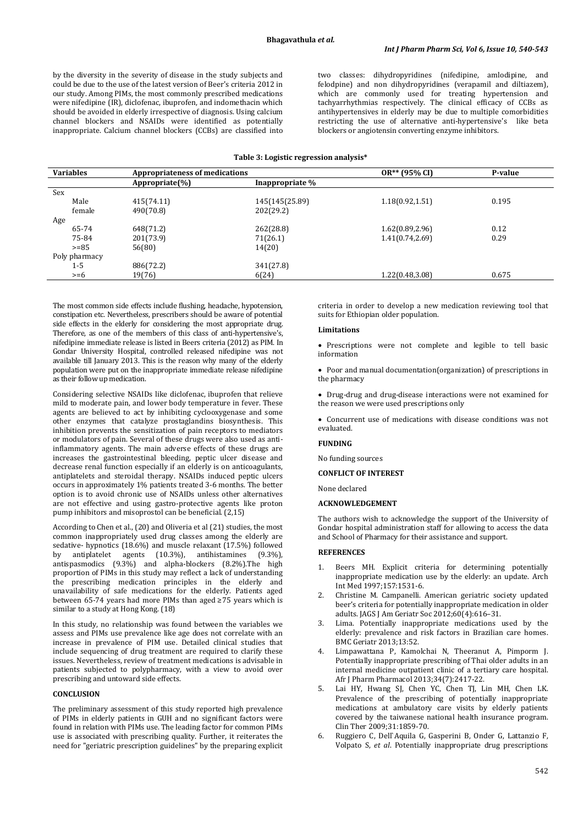by the diversity in the severity of disease in the study subjects and could be due to the use of the latest version of Beer's criteria 2012 in our study. Among PIMs, the most commonly prescribed medications were nifedipine (IR), diclofenac, ibuprofen, and indomethacin which should be avoided in elderly irrespective of diagnosis. Using calcium channel blockers and NSAIDs were identified as potentially inappropriate. Calcium channel blockers (CCBs) are classified into two classes: dihydropyridines (nifedipine, amlodipine, and felodpine) and non dihydropyridines (verapamil and diltiazem), which are commonly used for treating hypertension and tachyarrhythmias respectively. The clinical efficacy of CCBs as antihypertensives in elderly may be due to multiple comorbidities restricting the use of alternative anti-hypertensive's like beta blockers or angiotensin converting enzyme inhibitors.

### **Table 3: Logistic regression analysis\***

| <b>Variables</b> | Appropriateness of medications |                 | OR** (95% CI)    | P-value |
|------------------|--------------------------------|-----------------|------------------|---------|
|                  | Appropriate $(\% )$            | Inappropriate % |                  |         |
| Sex              |                                |                 |                  |         |
| Male             | 415(74.11)                     | 145(145(25.89)  | 1.18(0.92, 1.51) | 0.195   |
| female           | 490(70.8)                      | 202(29.2)       |                  |         |
| Age              |                                |                 |                  |         |
| 65-74            | 648(71.2)                      | 262(28.8)       | 1.62(0.89, 2.96) | 0.12    |
| 75-84            | 201(73.9)                      | 71(26.1)        | 1.41(0.74,2.69)  | 0.29    |
| $>= 85$          | 56(80)                         | 14(20)          |                  |         |
| Poly pharmacy    |                                |                 |                  |         |
| $1 - 5$          | 886(72.2)                      | 341(27.8)       |                  |         |
| $>= 6$           | 19(76)                         | 6(24)           | 1.22(0.48,3.08)  | 0.675   |

The most common side effects include flushing, headache, hypotension, constipation etc. Nevertheless, prescribers should be aware of potential side effects in the elderly for considering the most appropriate drug. Therefore, as one of the members of this class of anti-hypertensive's, nifedipine immediate release is listed in Beers criteria (2012) as PIM. In Gondar University Hospital, controlled released nifedipine was not available till January 2013. This is the reason why many of the elderly population were put on the inappropriate immediate release nifedipine as their follow up medication.

Considering selective NSAIDs like diclofenac, ibuprofen that relieve mild to moderate pain, and lower body temperature in fever. These agents are believed to act by inhibiting cyclooxygenase and some other enzymes that catalyze prostaglandins biosynthesis. This inhibition prevents the sensitization of pain receptors to mediators or modulators of pain. Several of these drugs were also used as antiinflammatory agents. The main adverse effects of these drugs are increases the gastrointestinal bleeding, peptic ulcer disease and decrease renal function especially if an elderly is on anticoagulants, antiplatelets and steroidal therapy. NSAIDs induced peptic ulcers occurs in approximately 1% patients treated 3-6 months. The better option is to avoid chronic use of NSAIDs unless other alternatives are not effective and using gastro-protective agents like proton pump inhibitors and misoprostol can be beneficial. (2,15)

According to Chen et al., (20) and Oliveria et al (21) studies, the most common inappropriately used drug classes among the elderly are sedative- hypnotics (18.6%) and muscle relaxant (17.5%) followed<br>by antiplatelet agents (10.3%), antihistamines (9.3%), by antiplatelet agents (10.3%), antihistamines (9.3%), antispasmodics (9.3%) and alpha-blockers (8.2%).The high proportion of PIMs in this study may reflect a lack of understanding the prescribing medication principles in the elderly and unavailability of safe medications for the elderly. Patients aged between 65-74 years had more PIMs than aged ≥75 years which is similar to a study at Hong Kong. (18)

In this study, no relationship was found between the variables we assess and PIMs use prevalence like age does not correlate with an increase in prevalence of PIM use. Detailed clinical studies that include sequencing of drug treatment are required to clarify these issues. Nevertheless, review of treatment medications is advisable in patients subjected to polypharmacy, with a view to avoid over prescribing and untoward side effects.

## **CONCLUSION**

The preliminary assessment of this study reported high prevalence of PIMs in elderly patients in GUH and no significant factors were found in relation with PIMs use. The leading factor for common PIMs use is associated with prescribing quality. Further, it reiterates the need for "geriatric prescription guidelines" by the preparing explicit criteria in order to develop a new medication reviewing tool that suits for Ethiopian older population.

## **Limitations**

• Prescriptions were not complete and legible to tell basic information

• Poor and manual documentation(organization) of prescriptions in the pharmacy

• Drug-drug and drug-disease interactions were not examined for the reason we were used prescriptions only

• Concurrent use of medications with disease conditions was not evaluated.

## **FUNDING**

No funding sources

#### **CONFLICT OF INTEREST**

None declared

#### **ACKNOWLEDGEMENT**

The authors wish to acknowledge the support of the University of Gondar hospital administration staff for allowing to access the data and School of Pharmacy for their assistance and support.

## **REFERENCES**

- 1. Beers MH. Explicit criteria for determining potentially inappropriate medication use by the elderly: an update. Arch Int Med 1997;157:1531-6.
- 2. Christine M. Campanelli. American geriatric society updated beer's criteria for potentially inappropriate medication in older adults. JAGS J Am Geriatr Soc 2012;60(4):616–31.
- Lima. Potentially inappropriate medications used by the elderly: prevalence and risk factors in Brazilian care homes. BMC Geriatr 2013;13:52.
- 4. Limpawattana P, Kamolchai N, Theeranut A, Pimporm J. Potentially inappropriate prescribing of Thai older adults in an internal medicine outpatient clinic of a tertiary care hospital. Afr J Pharm Pharmacol 2013;34(7):2417-22.
- Lai HY, Hwang SJ, Chen YC, Chen TJ, Lin MH, Chen LK. Prevalence of the prescribing of potentially inappropriate medications at ambulatory care visits by elderly patients covered by the taiwanese national health insurance program. Clin Ther 2009;31:1859-70.
- 6. Ruggiero C, Dell`Aquila G, Gasperini B, Onder G, Lattanzio F, Volpato S, *et al*. Potentially inappropriate drug prescriptions